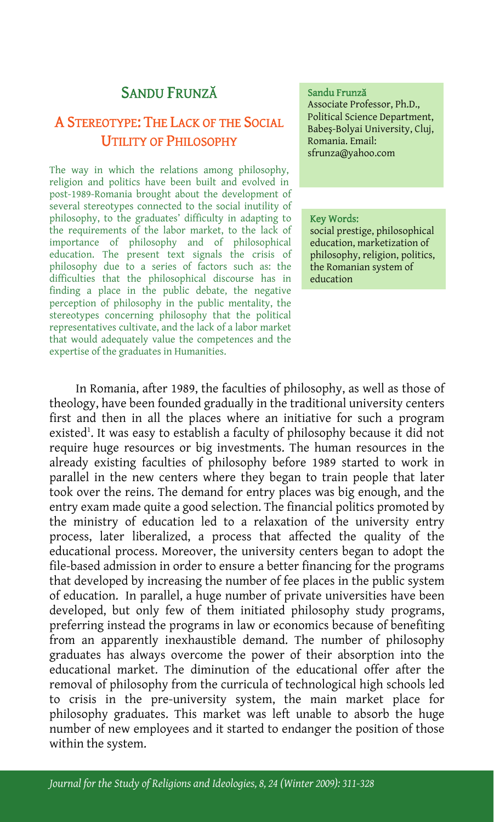# SANDU FRUNZĂ

# A STEREOTYPE: THE LACK OF THE SOCIAL UTILITY OF PHILOSOPHY

The way in which the relations among philosophy, religion and politics have been built and evolved in post-1989-Romania brought about the development of several stereotypes connected to the social inutility of philosophy, to the graduates' difficulty in adapting to the requirements of the labor market, to the lack of importance of philosophy and of philosophical education. The present text signals the crisis of philosophy due to a series of factors such as: the difficulties that the philosophical discourse has in finding a place in the public debate, the negative perception of philosophy in the public mentality, the stereotypes concerning philosophy that the political representatives cultivate, and the lack of a labor market that would adequately value the competences and the expertise of the graduates in Humanities.

### Sandu Frunză

Associate Professor, Ph.D., Political Science Department, Babeş-Bolyai University, Cluj, Romania. Email: sfrunza@yahoo.com

#### Key Words:

social prestige, philosophical education, marketization of philosophy, religion, politics, the Romanian system of education

In Romania, after 1989, the faculties of philosophy, as well as those of theology, have been founded gradually in the traditional university centers first and then in all the places where an initiative for such a program existed<sup>1</sup>. It was easy to establish a faculty of philosophy because it did not require huge resources or big investments. The human resources in the already existing faculties of philosophy before 1989 started to work in parallel in the new centers where they began to train people that later took over the reins. The demand for entry places was big enough, and the entry exam made quite a good selection. The financial politics promoted by the ministry of education led to a relaxation of the university entry process, later liberalized, a process that affected the quality of the educational process. Moreover, the university centers began to adopt the file-based admission in order to ensure a better financing for the programs that developed by increasing the number of fee places in the public system of education. In parallel, a huge number of private universities have been developed, but only few of them initiated philosophy study programs, preferring instead the programs in law or economics because of benefiting from an apparently inexhaustible demand. The number of philosophy graduates has always overcome the power of their absorption into the educational market. The diminution of the educational offer after the removal of philosophy from the curricula of technological high schools led to crisis in the pre-university system, the main market place for philosophy graduates. This market was left unable to absorb the huge number of new employees and it started to endanger the position of those within the system.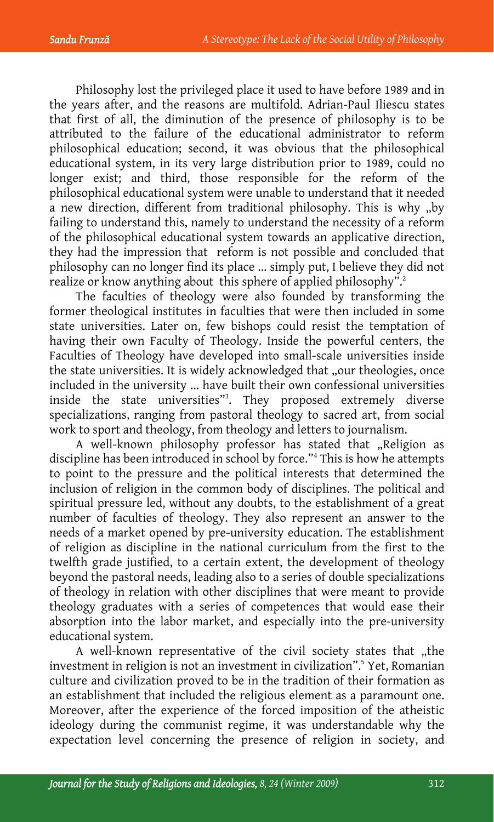Philosophy lost the privileged place it used to have before 1989 and in the years after, and the reasons are multifold. Adrian-Paul Iliescu states that first of all, the diminution of the presence of philosophy is to be attributed to the failure of the educational administrator to reform philosophical education; second, it was obvious that the philosophical educational system, in its very large distribution prior to 1989, could no longer exist; and third, those responsible for the reform of the philosophical educational system were unable to understand that it needed a new direction, different from traditional philosophy. This is why "by failing to understand this, namely to understand the necessity of a reform of the philosophical educational system towards an applicative direction, they had the impression that reform is not possible and concluded that philosophy can no longer find its place ... simply put, I believe they did not realize or know anything about this sphere of applied philosophy".<sup>2</sup>

The faculties of theology were also founded by transforming the former theological institutes in faculties that were then included in some state universities. Later on, few bishops could resist the temptation of having their own Faculty of Theology. Inside the powerful centers, the Faculties of Theology have developed into small-scale universities inside the state universities. It is widely acknowledged that "our theologies, once included in the university ... have built their own confessional universities inside the state universities"3 . They proposed extremely diverse specializations, ranging from pastoral theology to sacred art, from social work to sport and theology, from theology and letters to journalism.

A well-known philosophy professor has stated that "Religion as discipline has been introduced in school by force."4 This is how he attempts to point to the pressure and the political interests that determined the inclusion of religion in the common body of disciplines. The political and spiritual pressure led, without any doubts, to the establishment of a great number of faculties of theology. They also represent an answer to the needs of a market opened by pre-university education. The establishment of religion as discipline in the national curriculum from the first to the twelfth grade justified, to a certain extent, the development of theology beyond the pastoral needs, leading also to a series of double specializations of theology in relation with other disciplines that were meant to provide theology graduates with a series of competences that would ease their absorption into the labor market, and especially into the pre-university educational system.

A well-known representative of the civil society states that "the investment in religion is not an investment in civilization".5 Yet, Romanian culture and civilization proved to be in the tradition of their formation as an establishment that included the religious element as a paramount one. Moreover, after the experience of the forced imposition of the atheistic ideology during the communist regime, it was understandable why the expectation level concerning the presence of religion in society, and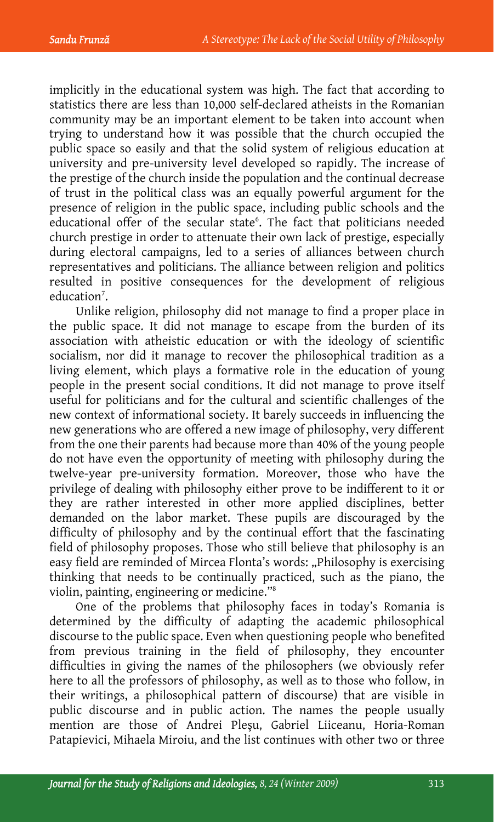implicitly in the educational system was high. The fact that according to statistics there are less than 10,000 self-declared atheists in the Romanian community may be an important element to be taken into account when trying to understand how it was possible that the church occupied the public space so easily and that the solid system of religious education at university and pre-university level developed so rapidly. The increase of the prestige of the church inside the population and the continual decrease of trust in the political class was an equally powerful argument for the presence of religion in the public space, including public schools and the educational offer of the secular state<sup>6</sup>. The fact that politicians needed church prestige in order to attenuate their own lack of prestige, especially during electoral campaigns, led to a series of alliances between church representatives and politicians. The alliance between religion and politics resulted in positive consequences for the development of religious education<sup>7</sup>.

Unlike religion, philosophy did not manage to find a proper place in the public space. It did not manage to escape from the burden of its association with atheistic education or with the ideology of scientific socialism, nor did it manage to recover the philosophical tradition as a living element, which plays a formative role in the education of young people in the present social conditions. It did not manage to prove itself useful for politicians and for the cultural and scientific challenges of the new context of informational society. It barely succeeds in influencing the new generations who are offered a new image of philosophy, very different from the one their parents had because more than 40% of the young people do not have even the opportunity of meeting with philosophy during the twelve-year pre-university formation. Moreover, those who have the privilege of dealing with philosophy either prove to be indifferent to it or they are rather interested in other more applied disciplines, better demanded on the labor market. These pupils are discouraged by the difficulty of philosophy and by the continual effort that the fascinating field of philosophy proposes. Those who still believe that philosophy is an easy field are reminded of Mircea Flonta's words: "Philosophy is exercising thinking that needs to be continually practiced, such as the piano, the violin, painting, engineering or medicine."8

One of the problems that philosophy faces in today's Romania is determined by the difficulty of adapting the academic philosophical discourse to the public space. Even when questioning people who benefited from previous training in the field of philosophy, they encounter difficulties in giving the names of the philosophers (we obviously refer here to all the professors of philosophy, as well as to those who follow, in their writings, a philosophical pattern of discourse) that are visible in public discourse and in public action. The names the people usually mention are those of Andrei Pleşu, Gabriel Liiceanu, Horia-Roman Patapievici, Mihaela Miroiu, and the list continues with other two or three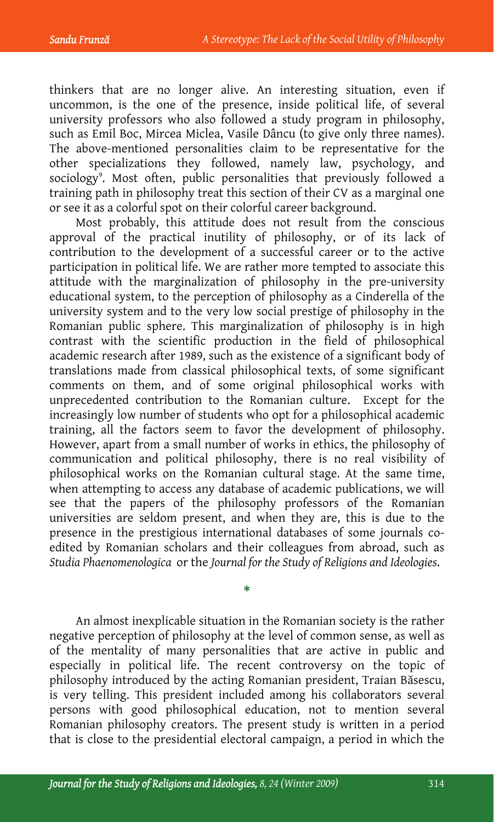thinkers that are no longer alive. An interesting situation, even if uncommon, is the one of the presence, inside political life, of several university professors who also followed a study program in philosophy, such as Emil Boc, Mircea Miclea, Vasile Dâncu (to give only three names). The above-mentioned personalities claim to be representative for the other specializations they followed, namely law, psychology, and sociology<sup>9</sup>. Most often, public personalities that previously followed a training path in philosophy treat this section of their CV as a marginal one or see it as a colorful spot on their colorful career background.

Most probably, this attitude does not result from the conscious approval of the practical inutility of philosophy, or of its lack of contribution to the development of a successful career or to the active participation in political life. We are rather more tempted to associate this attitude with the marginalization of philosophy in the pre-university educational system, to the perception of philosophy as a Cinderella of the university system and to the very low social prestige of philosophy in the Romanian public sphere. This marginalization of philosophy is in high contrast with the scientific production in the field of philosophical academic research after 1989, such as the existence of a significant body of translations made from classical philosophical texts, of some significant comments on them, and of some original philosophical works with unprecedented contribution to the Romanian culture. Except for the increasingly low number of students who opt for a philosophical academic training, all the factors seem to favor the development of philosophy. However, apart from a small number of works in ethics, the philosophy of communication and political philosophy, there is no real visibility of philosophical works on the Romanian cultural stage. At the same time, when attempting to access any database of academic publications, we will see that the papers of the philosophy professors of the Romanian universities are seldom present, and when they are, this is due to the presence in the prestigious international databases of some journals coedited by Romanian scholars and their colleagues from abroad, such as *Studia Phaenomenologica* or the *Journal for the Study of Religions and Ideologies*.

An almost inexplicable situation in the Romanian society is the rather negative perception of philosophy at the level of common sense, as well as of the mentality of many personalities that are active in public and especially in political life. The recent controversy on the topic of philosophy introduced by the acting Romanian president, Traian Băsescu, is very telling. This president included among his collaborators several persons with good philosophical education, not to mention several Romanian philosophy creators. The present study is written in a period that is close to the presidential electoral campaign, a period in which the

\*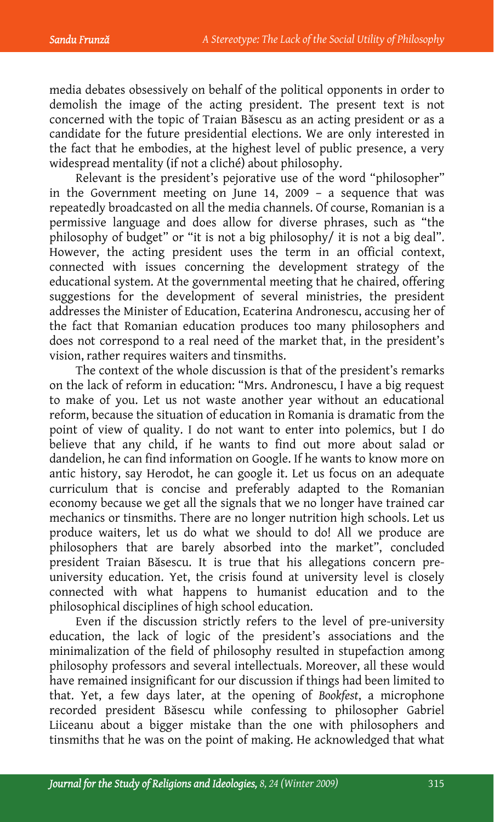media debates obsessively on behalf of the political opponents in order to demolish the image of the acting president. The present text is not concerned with the topic of Traian Băsescu as an acting president or as a candidate for the future presidential elections. We are only interested in the fact that he embodies, at the highest level of public presence, a very widespread mentality (if not a cliché) about philosophy.

Relevant is the president's pejorative use of the word "philosopher" in the Government meeting on June 14, 2009 – a sequence that was repeatedly broadcasted on all the media channels. Of course, Romanian is a permissive language and does allow for diverse phrases, such as "the philosophy of budget" or "it is not a big philosophy/ it is not a big deal". However, the acting president uses the term in an official context, connected with issues concerning the development strategy of the educational system. At the governmental meeting that he chaired, offering suggestions for the development of several ministries, the president addresses the Minister of Education, Ecaterina Andronescu, accusing her of the fact that Romanian education produces too many philosophers and does not correspond to a real need of the market that, in the president's vision, rather requires waiters and tinsmiths.

The context of the whole discussion is that of the president's remarks on the lack of reform in education: "Mrs. Andronescu, I have a big request to make of you. Let us not waste another year without an educational reform, because the situation of education in Romania is dramatic from the point of view of quality. I do not want to enter into polemics, but I do believe that any child, if he wants to find out more about salad or dandelion, he can find information on Google. If he wants to know more on antic history, say Herodot, he can google it. Let us focus on an adequate curriculum that is concise and preferably adapted to the Romanian economy because we get all the signals that we no longer have trained car mechanics or tinsmiths. There are no longer nutrition high schools. Let us produce waiters, let us do what we should to do! All we produce are philosophers that are barely absorbed into the market", concluded president Traian Băsescu. It is true that his allegations concern preuniversity education. Yet, the crisis found at university level is closely connected with what happens to humanist education and to the philosophical disciplines of high school education.

Even if the discussion strictly refers to the level of pre-university education, the lack of logic of the president's associations and the minimalization of the field of philosophy resulted in stupefaction among philosophy professors and several intellectuals. Moreover, all these would have remained insignificant for our discussion if things had been limited to that. Yet, a few days later, at the opening of *Bookfest*, a microphone recorded president Băsescu while confessing to philosopher Gabriel Liiceanu about a bigger mistake than the one with philosophers and tinsmiths that he was on the point of making. He acknowledged that what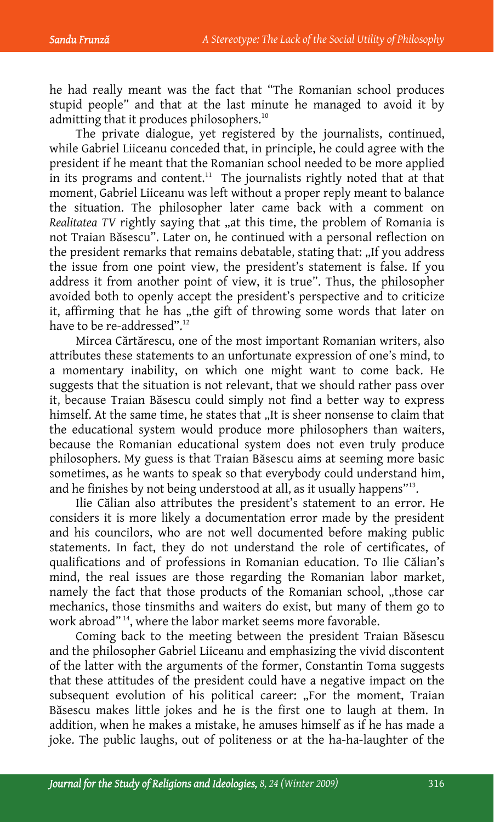he had really meant was the fact that "The Romanian school produces stupid people" and that at the last minute he managed to avoid it by admitting that it produces philosophers.<sup>10</sup>

The private dialogue, yet registered by the journalists, continued, while Gabriel Liiceanu conceded that, in principle, he could agree with the president if he meant that the Romanian school needed to be more applied in its programs and content.<sup>11</sup> The journalists rightly noted that at that moment, Gabriel Liiceanu was left without a proper reply meant to balance the situation. The philosopher later came back with a comment on *Realitatea TV* rightly saying that "at this time, the problem of Romania is not Traian Băsescu". Later on, he continued with a personal reflection on the president remarks that remains debatable, stating that: "If you address the issue from one point view, the president's statement is false. If you address it from another point of view, it is true". Thus, the philosopher avoided both to openly accept the president's perspective and to criticize it, affirming that he has "the gift of throwing some words that later on have to be re-addressed".<sup>12</sup>

Mircea Cărtărescu, one of the most important Romanian writers, also attributes these statements to an unfortunate expression of one's mind, to a momentary inability, on which one might want to come back. He suggests that the situation is not relevant, that we should rather pass over it, because Traian Băsescu could simply not find a better way to express himself. At the same time, he states that "It is sheer nonsense to claim that the educational system would produce more philosophers than waiters, because the Romanian educational system does not even truly produce philosophers. My guess is that Traian Băsescu aims at seeming more basic sometimes, as he wants to speak so that everybody could understand him, and he finishes by not being understood at all, as it usually happens<sup>"13</sup>.

Ilie Călian also attributes the president's statement to an error. He considers it is more likely a documentation error made by the president and his councilors, who are not well documented before making public statements. In fact, they do not understand the role of certificates, of qualifications and of professions in Romanian education. To Ilie Călian's mind, the real issues are those regarding the Romanian labor market, namely the fact that those products of the Romanian school, "those car mechanics, those tinsmiths and waiters do exist, but many of them go to work abroad" 14, where the labor market seems more favorable.

Coming back to the meeting between the president Traian Băsescu and the philosopher Gabriel Liiceanu and emphasizing the vivid discontent of the latter with the arguments of the former, Constantin Toma suggests that these attitudes of the president could have a negative impact on the subsequent evolution of his political career: "For the moment, Traian Băsescu makes little jokes and he is the first one to laugh at them. In addition, when he makes a mistake, he amuses himself as if he has made a joke. The public laughs, out of politeness or at the ha-ha-laughter of the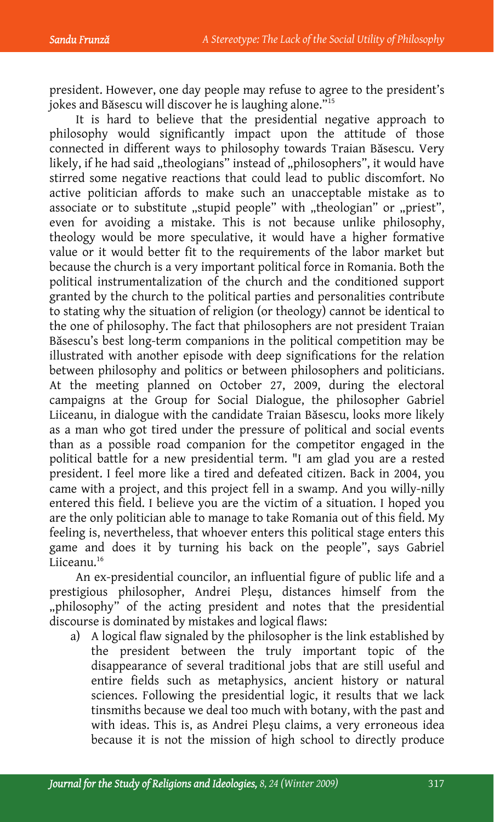president. However, one day people may refuse to agree to the president's jokes and Băsescu will discover he is laughing alone."15

It is hard to believe that the presidential negative approach to philosophy would significantly impact upon the attitude of those connected in different ways to philosophy towards Traian Băsescu. Very likely, if he had said "theologians" instead of "philosophers", it would have stirred some negative reactions that could lead to public discomfort. No active politician affords to make such an unacceptable mistake as to associate or to substitute "stupid people" with "theologian" or "priest", even for avoiding a mistake. This is not because unlike philosophy, theology would be more speculative, it would have a higher formative value or it would better fit to the requirements of the labor market but because the church is a very important political force in Romania. Both the political instrumentalization of the church and the conditioned support granted by the church to the political parties and personalities contribute to stating why the situation of religion (or theology) cannot be identical to the one of philosophy. The fact that philosophers are not president Traian Băsescu's best long-term companions in the political competition may be illustrated with another episode with deep significations for the relation between philosophy and politics or between philosophers and politicians. At the meeting planned on October 27, 2009, during the electoral campaigns at the Group for Social Dialogue, the philosopher Gabriel Liiceanu, in dialogue with the candidate Traian Băsescu, looks more likely as a man who got tired under the pressure of political and social events than as a possible road companion for the competitor engaged in the political battle for a new presidential term. "I am glad you are a rested president. I feel more like a tired and defeated citizen. Back in 2004, you came with a project, and this project fell in a swamp. And you willy-nilly entered this field. I believe you are the victim of a situation. I hoped you are the only politician able to manage to take Romania out of this field. My feeling is, nevertheless, that whoever enters this political stage enters this game and does it by turning his back on the people", says Gabriel Liiceanu.<sup>16</sup>

An ex-presidential councilor, an influential figure of public life and a prestigious philosopher, Andrei Pleşu, distances himself from the "philosophy" of the acting president and notes that the presidential discourse is dominated by mistakes and logical flaws:

a) A logical flaw signaled by the philosopher is the link established by the president between the truly important topic of the disappearance of several traditional jobs that are still useful and entire fields such as metaphysics, ancient history or natural sciences. Following the presidential logic, it results that we lack tinsmiths because we deal too much with botany, with the past and with ideas. This is, as Andrei Pleşu claims, a very erroneous idea because it is not the mission of high school to directly produce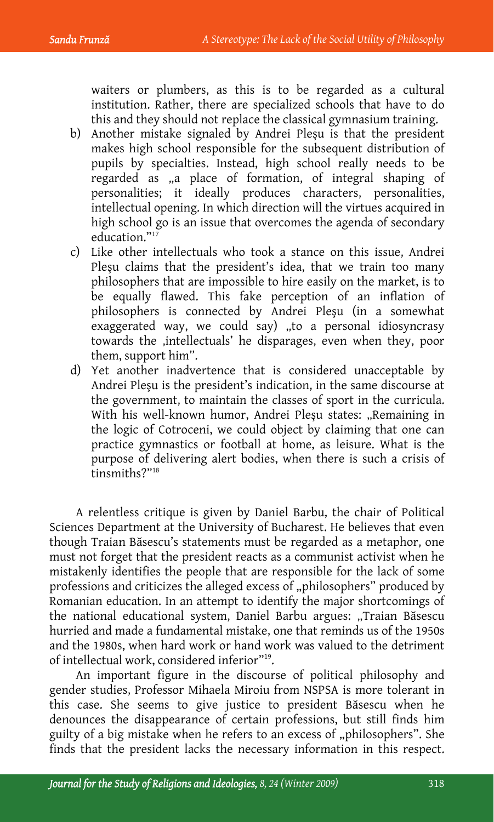waiters or plumbers, as this is to be regarded as a cultural institution. Rather, there are specialized schools that have to do this and they should not replace the classical gymnasium training.

- b) Another mistake signaled by Andrei Pleşu is that the president makes high school responsible for the subsequent distribution of pupils by specialties. Instead, high school really needs to be regarded as "a place of formation, of integral shaping of personalities; it ideally produces characters, personalities, intellectual opening. In which direction will the virtues acquired in high school go is an issue that overcomes the agenda of secondary education."<sup>17</sup>
- c) Like other intellectuals who took a stance on this issue, Andrei Pleşu claims that the president's idea, that we train too many philosophers that are impossible to hire easily on the market, is to be equally flawed. This fake perception of an inflation of philosophers is connected by Andrei Pleşu (in a somewhat exaggerated way, we could say) "to a personal idiosyncrasy towards the ,intellectuals' he disparages, even when they, poor them, support him".
- d) Yet another inadvertence that is considered unacceptable by Andrei Pleşu is the president's indication, in the same discourse at the government, to maintain the classes of sport in the curricula. With his well-known humor, Andrei Pleşu states: "Remaining in the logic of Cotroceni, we could object by claiming that one can practice gymnastics or football at home, as leisure. What is the purpose of delivering alert bodies, when there is such a crisis of tinsmiths?"18

A relentless critique is given by Daniel Barbu, the chair of Political Sciences Department at the University of Bucharest. He believes that even though Traian Băsescu's statements must be regarded as a metaphor, one must not forget that the president reacts as a communist activist when he mistakenly identifies the people that are responsible for the lack of some professions and criticizes the alleged excess of "philosophers" produced by Romanian education. In an attempt to identify the major shortcomings of the national educational system, Daniel Barbu argues: "Traian Băsescu hurried and made a fundamental mistake, one that reminds us of the 1950s and the 1980s, when hard work or hand work was valued to the detriment of intellectual work, considered inferior"19.

An important figure in the discourse of political philosophy and gender studies, Professor Mihaela Miroiu from NSPSA is more tolerant in this case. She seems to give justice to president Băsescu when he denounces the disappearance of certain professions, but still finds him guilty of a big mistake when he refers to an excess of "philosophers". She finds that the president lacks the necessary information in this respect.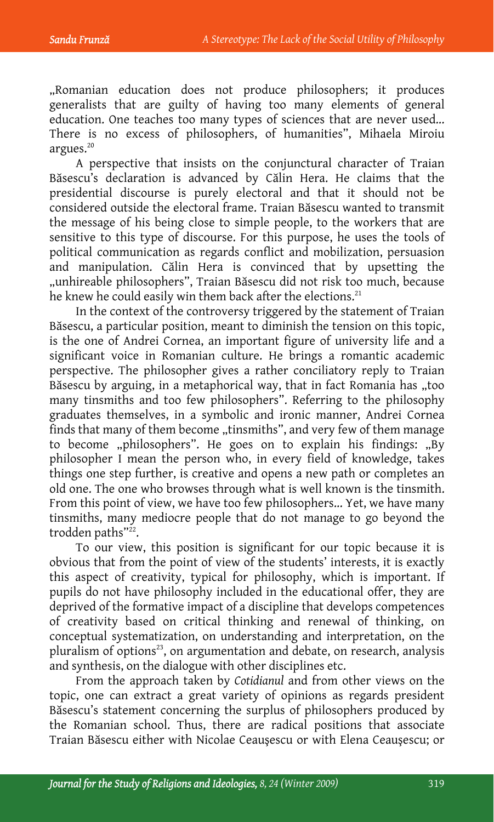"Romanian education does not produce philosophers; it produces generalists that are guilty of having too many elements of general education. One teaches too many types of sciences that are never used... There is no excess of philosophers, of humanities", Mihaela Miroiu argues. $20$ 

A perspective that insists on the conjunctural character of Traian Băsescu's declaration is advanced by Călin Hera. He claims that the presidential discourse is purely electoral and that it should not be considered outside the electoral frame. Traian Băsescu wanted to transmit the message of his being close to simple people, to the workers that are sensitive to this type of discourse. For this purpose, he uses the tools of political communication as regards conflict and mobilization, persuasion and manipulation. Călin Hera is convinced that by upsetting the "unhireable philosophers", Traian Băsescu did not risk too much, because he knew he could easily win them back after the elections.<sup>21</sup>

In the context of the controversy triggered by the statement of Traian Băsescu, a particular position, meant to diminish the tension on this topic, is the one of Andrei Cornea, an important figure of university life and a significant voice in Romanian culture. He brings a romantic academic perspective. The philosopher gives a rather conciliatory reply to Traian Băsescu by arguing, in a metaphorical way, that in fact Romania has "too many tinsmiths and too few philosophers". Referring to the philosophy graduates themselves, in a symbolic and ironic manner, Andrei Cornea finds that many of them become "tinsmiths", and very few of them manage to become "philosophers". He goes on to explain his findings: "By philosopher I mean the person who, in every field of knowledge, takes things one step further, is creative and opens a new path or completes an old one. The one who browses through what is well known is the tinsmith. From this point of view, we have too few philosophers... Yet, we have many tinsmiths, many mediocre people that do not manage to go beyond the trodden paths"<sup>22</sup>.

To our view, this position is significant for our topic because it is obvious that from the point of view of the students' interests, it is exactly this aspect of creativity, typical for philosophy, which is important. If pupils do not have philosophy included in the educational offer, they are deprived of the formative impact of a discipline that develops competences of creativity based on critical thinking and renewal of thinking, on conceptual systematization, on understanding and interpretation, on the pluralism of options<sup>23</sup>, on argumentation and debate, on research, analysis and synthesis, on the dialogue with other disciplines etc.

From the approach taken by *Cotidianul* and from other views on the topic, one can extract a great variety of opinions as regards president Băsescu's statement concerning the surplus of philosophers produced by the Romanian school. Thus, there are radical positions that associate Traian Băsescu either with Nicolae Ceauşescu or with Elena Ceauşescu; or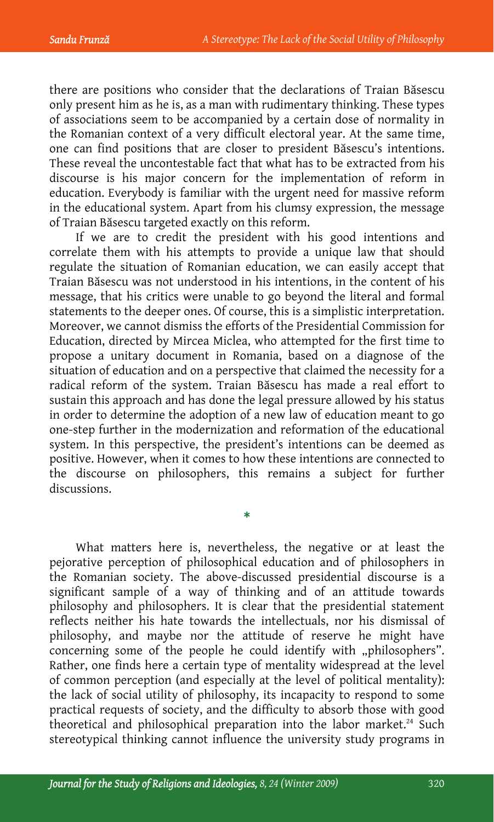there are positions who consider that the declarations of Traian Băsescu only present him as he is, as a man with rudimentary thinking. These types of associations seem to be accompanied by a certain dose of normality in the Romanian context of a very difficult electoral year. At the same time, one can find positions that are closer to president Băsescu's intentions. These reveal the uncontestable fact that what has to be extracted from his discourse is his major concern for the implementation of reform in education. Everybody is familiar with the urgent need for massive reform in the educational system. Apart from his clumsy expression, the message of Traian Băsescu targeted exactly on this reform.

If we are to credit the president with his good intentions and correlate them with his attempts to provide a unique law that should regulate the situation of Romanian education, we can easily accept that Traian Băsescu was not understood in his intentions, in the content of his message, that his critics were unable to go beyond the literal and formal statements to the deeper ones. Of course, this is a simplistic interpretation. Moreover, we cannot dismiss the efforts of the Presidential Commission for Education, directed by Mircea Miclea, who attempted for the first time to propose a unitary document in Romania, based on a diagnose of the situation of education and on a perspective that claimed the necessity for a radical reform of the system. Traian Băsescu has made a real effort to sustain this approach and has done the legal pressure allowed by his status in order to determine the adoption of a new law of education meant to go one-step further in the modernization and reformation of the educational system. In this perspective, the president's intentions can be deemed as positive. However, when it comes to how these intentions are connected to the discourse on philosophers, this remains a subject for further discussions.

What matters here is, nevertheless, the negative or at least the pejorative perception of philosophical education and of philosophers in the Romanian society. The above-discussed presidential discourse is a significant sample of a way of thinking and of an attitude towards philosophy and philosophers. It is clear that the presidential statement reflects neither his hate towards the intellectuals, nor his dismissal of philosophy, and maybe nor the attitude of reserve he might have concerning some of the people he could identify with "philosophers". Rather, one finds here a certain type of mentality widespread at the level of common perception (and especially at the level of political mentality): the lack of social utility of philosophy, its incapacity to respond to some practical requests of society, and the difficulty to absorb those with good theoretical and philosophical preparation into the labor market.<sup>24</sup> Such stereotypical thinking cannot influence the university study programs in

\*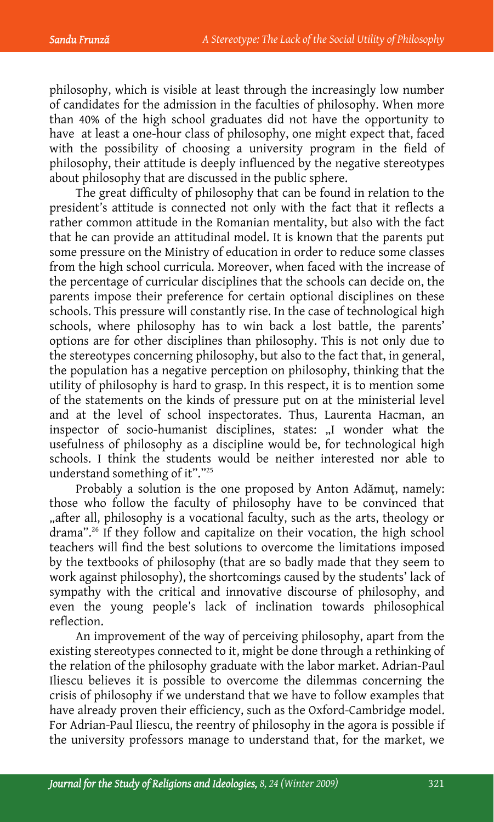philosophy, which is visible at least through the increasingly low number of candidates for the admission in the faculties of philosophy. When more than 40% of the high school graduates did not have the opportunity to have at least a one-hour class of philosophy, one might expect that, faced with the possibility of choosing a university program in the field of philosophy, their attitude is deeply influenced by the negative stereotypes about philosophy that are discussed in the public sphere.

The great difficulty of philosophy that can be found in relation to the president's attitude is connected not only with the fact that it reflects a rather common attitude in the Romanian mentality, but also with the fact that he can provide an attitudinal model. It is known that the parents put some pressure on the Ministry of education in order to reduce some classes from the high school curricula. Moreover, when faced with the increase of the percentage of curricular disciplines that the schools can decide on, the parents impose their preference for certain optional disciplines on these schools. This pressure will constantly rise. In the case of technological high schools, where philosophy has to win back a lost battle, the parents' options are for other disciplines than philosophy. This is not only due to the stereotypes concerning philosophy, but also to the fact that, in general, the population has a negative perception on philosophy, thinking that the utility of philosophy is hard to grasp. In this respect, it is to mention some of the statements on the kinds of pressure put on at the ministerial level and at the level of school inspectorates. Thus, Laurenta Hacman, an inspector of socio-humanist disciplines, states: "I wonder what the usefulness of philosophy as a discipline would be, for technological high schools. I think the students would be neither interested nor able to understand something of it"."25

Probably a solution is the one proposed by Anton Adămuţ, namely: those who follow the faculty of philosophy have to be convinced that "after all, philosophy is a vocational faculty, such as the arts, theology or drama".<sup>26</sup> If they follow and capitalize on their vocation, the high school teachers will find the best solutions to overcome the limitations imposed by the textbooks of philosophy (that are so badly made that they seem to work against philosophy), the shortcomings caused by the students' lack of sympathy with the critical and innovative discourse of philosophy, and even the young people's lack of inclination towards philosophical reflection.

An improvement of the way of perceiving philosophy, apart from the existing stereotypes connected to it, might be done through a rethinking of the relation of the philosophy graduate with the labor market. Adrian-Paul Iliescu believes it is possible to overcome the dilemmas concerning the crisis of philosophy if we understand that we have to follow examples that have already proven their efficiency, such as the Oxford-Cambridge model. For Adrian-Paul Iliescu, the reentry of philosophy in the agora is possible if the university professors manage to understand that, for the market, we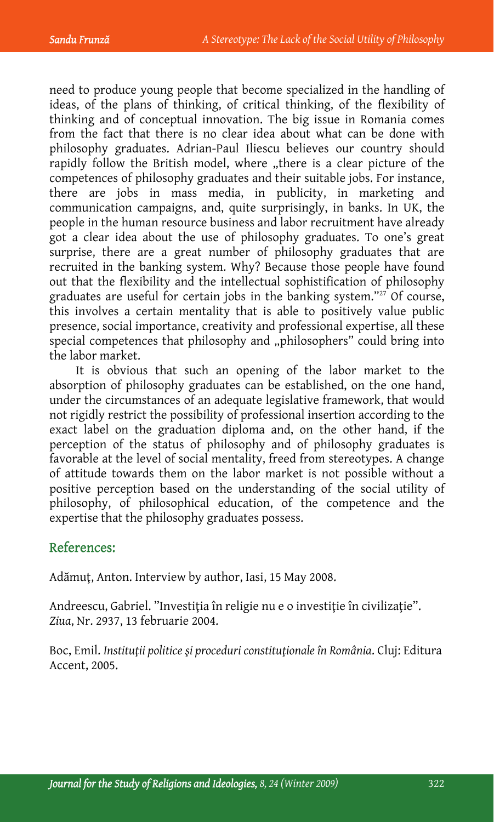need to produce young people that become specialized in the handling of ideas, of the plans of thinking, of critical thinking, of the flexibility of thinking and of conceptual innovation. The big issue in Romania comes from the fact that there is no clear idea about what can be done with philosophy graduates. Adrian-Paul Iliescu believes our country should rapidly follow the British model, where "there is a clear picture of the competences of philosophy graduates and their suitable jobs. For instance, there are jobs in mass media, in publicity, in marketing and communication campaigns, and, quite surprisingly, in banks. In UK, the people in the human resource business and labor recruitment have already got a clear idea about the use of philosophy graduates. To one's great surprise, there are a great number of philosophy graduates that are recruited in the banking system. Why? Because those people have found out that the flexibility and the intellectual sophistification of philosophy graduates are useful for certain jobs in the banking system."<sup>27</sup> Of course, this involves a certain mentality that is able to positively value public presence, social importance, creativity and professional expertise, all these special competences that philosophy and "philosophers" could bring into the labor market.

It is obvious that such an opening of the labor market to the absorption of philosophy graduates can be established, on the one hand, under the circumstances of an adequate legislative framework, that would not rigidly restrict the possibility of professional insertion according to the exact label on the graduation diploma and, on the other hand, if the perception of the status of philosophy and of philosophy graduates is favorable at the level of social mentality, freed from stereotypes. A change of attitude towards them on the labor market is not possible without a positive perception based on the understanding of the social utility of philosophy, of philosophical education, of the competence and the expertise that the philosophy graduates possess.

### References:

Adămuţ, Anton. Interview by author, Iasi, 15 May 2008.

Andreescu, Gabriel. "Investiţia în religie nu e o investiţie în civilizaţie". *Ziua*, Nr. 2937, 13 februarie 2004.

Boc, Emil. *Instituţii politice şi proceduri constituţionale în România*. Cluj: Editura Accent, 2005.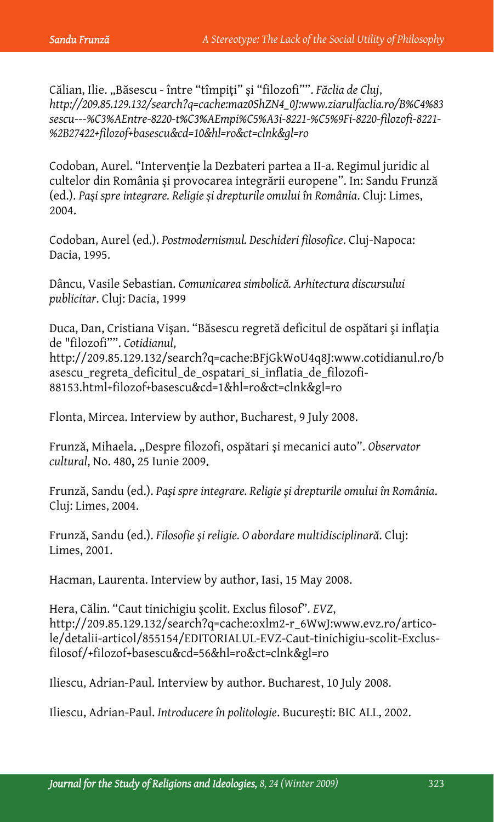Călian, Ilie. "Băsescu - între "tîmpiţi" şi "filozofi"". *Făclia de Cluj*, *http://209.85.129.132/search?q=cache:maz0ShZN4\_0J:www.ziarulfaclia.ro/B%C4%83 sescu---%C3%AEntre-8220-t%C3%AEmpi%C5%A3i-8221-%C5%9Fi-8220-filozofi-8221- %2B27422+filozof+basescu&cd=10&hl=ro&ct=clnk&gl=ro*

Codoban, Aurel. "Intervenţie la Dezbateri partea a II-a. Regimul juridic al cultelor din România şi provocarea integrării europene". In: Sandu Frunză (ed.). *Paşi spre integrare. Religie şi drepturile omului în România*. Cluj: Limes, 2004.

Codoban, Aurel (ed.). *Postmodernismul. Deschideri filosofice*. Cluj-Napoca: Dacia, 1995.

Dâncu, Vasile Sebastian. *Comunicarea simbolică. Arhitectura discursului publicitar*. Cluj: Dacia, 1999

Duca, Dan, Cristiana Vişan. "Băsescu regretă deficitul de ospătari şi inflaţia de "filozofi"". *Cotidianul*, http://209.85.129.132/search?q=cache:BFjGkWoU4q8J:www.cotidianul.ro/b asescu\_regreta\_deficitul\_de\_ospatari\_si\_inflatia\_de\_filozofi-88153.html+filozof+basescu&cd=1&hl=ro&ct=clnk&gl=ro

Flonta, Mircea. Interview by author, Bucharest, 9 July 2008.

Frunză, Mihaela. "Despre filozofi, ospătari şi mecanici auto". *Observator cultural*, No. 480, 25 Iunie 2009.

Frunză, Sandu (ed.). *Paşi spre integrare. Religie şi drepturile omului în România*. Cluj: Limes, 2004.

Frunză, Sandu (ed.). *Filosofie şi religie. O abordare multidisciplinară*. Cluj: Limes, 2001.

Hacman, Laurenta. Interview by author, Iasi, 15 May 2008.

Hera, Călin. "Caut tinichigiu şcolit. Exclus filosof". *EVZ*, http://209.85.129.132/search?q=cache:oxlm2-r\_6WwJ:www.evz.ro/articole/detalii-articol/855154/EDITORIALUL-EVZ-Caut-tinichigiu-scolit-Exclusfilosof/+filozof+basescu&cd=56&hl=ro&ct=clnk&gl=ro

Iliescu, Adrian-Paul. Interview by author. Bucharest, 10 July 2008.

Iliescu, Adrian-Paul. *Introducere în politologie*. Bucureşti: BIC ALL, 2002.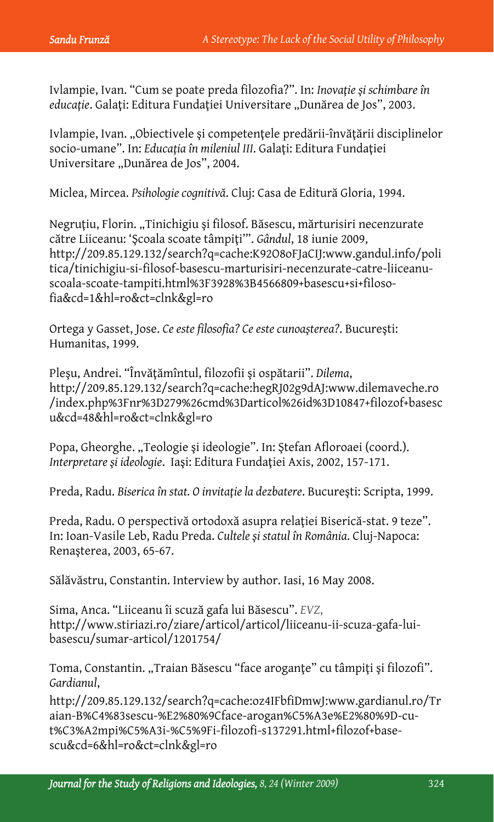Ivlampie, Ivan. "Cum se poate preda filozofia?". In: *Inovaţie şi schimbare în educație.* Galați: Editura Fundației Universitare "Dunărea de Jos", 2003.

Ivlampie, Ivan. "Obiectivele şi competenţele predării-învăţării disciplinelor socio-umane". In: *Educaţia în mileniul III*. Galaţi: Editura Fundaţiei Universitare "Dunărea de Jos", 2004.

Miclea, Mircea. *Psihologie cognitivă*. Cluj: Casa de Editură Gloria, 1994.

Negruțiu, Florin. "Tinichigiu și filosof. Băsescu, mărturisiri necenzurate către Liiceanu: 'Şcoala scoate tâmpiţi'". *Gândul*, 18 iunie 2009, http://209.85.129.132/search?q=cache:K92O8oFJaCIJ:www.gandul.info/poli tica/tinichigiu-si-filosof-basescu-marturisiri-necenzurate-catre-liiceanuscoala-scoate-tampiti.html%3F3928%3B4566809+basescu+si+filosofia&cd=1&hl=ro&ct=clnk&gl=ro

Ortega y Gasset, Jose. *Ce este filosofia? Ce este cunoaşterea?*. Bucureşti: Humanitas, 1999.

Pleşu, Andrei. "Învăţămîntul, filozofii şi ospătarii". *Dilema*, http://209.85.129.132/search?q=cache:hegRJ02g9dAJ:www.dilemaveche.ro /index.php%3Fnr%3D279%26cmd%3Darticol%26id%3D10847+filozof+basesc u&cd=48&hl=ro&ct=clnk&gl=ro

Popa, Gheorghe. "Teologie și ideologie". In: Ștefan Afloroaei (coord.). *Interpretare şi ideologie*. Iaşi: Editura Fundaţiei Axis, 2002, 157-171.

Preda, Radu. *Biserica în stat. O invitaţie la dezbatere*. Bucureşti: Scripta, 1999.

Preda, Radu. O perspectivă ortodoxă asupra relaţiei Biserică-stat. 9 teze". In: Ioan-Vasile Leb, Radu Preda. *Cultele şi statul în România*. Cluj-Napoca: Renaşterea, 2003, 65-67.

Sălăvăstru, Constantin. Interview by author. Iasi, 16 May 2008.

Sima, Anca. "Liiceanu îi scuză gafa lui Băsescu". *EVZ*, http://www.stiriazi.ro/ziare/articol/articol/liiceanu-ii-scuza-gafa-luibasescu/sumar-articol/1201754/

Toma, Constantin. "Traian Băsescu "face aroganțe" cu tâmpiți și filozofi". *Gardianul*,

http://209.85.129.132/search?q=cache:oz4IFbfiDmwJ:www.gardianul.ro/Tr aian-B%C4%83sescu-%E2%80%9Cface-arogan%C5%A3e%E2%80%9D-cut%C3%A2mpi%C5%A3i-%C5%9Fi-filozofi-s137291.html+filozof+basescu&cd=6&hl=ro&ct=clnk&gl=ro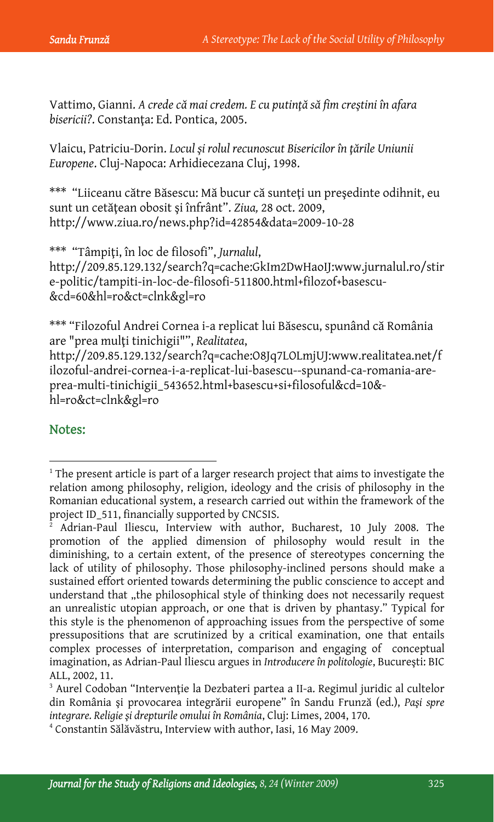Vattimo, Gianni. *A crede că mai credem. E cu putinţă să fim creştini în afara bisericii?*. Constanţa: Ed. Pontica, 2005.

Vlaicu, Patriciu-Dorin. *Locul şi rolul recunoscut Bisericilor în ţările Uniunii Europene*. Cluj-Napoca: Arhidiecezana Cluj, 1998.

\*\*\* "Liiceanu către Băsescu: Mă bucur că sunteţi un preşedinte odihnit, eu sunt un cetăţean obosit şi înfrânt". *Ziua,* 28 oct. 2009, http://www.ziua.ro/news.php?id=42854&data=2009-10-28

\*\*\* "Tâmpiţi, în loc de filosofi", *Jurnalul*, http://209.85.129.132/search?q=cache:GkIm2DwHaoIJ:www.jurnalul.ro/stir e-politic/tampiti-in-loc-de-filosofi-511800.html+filozof+basescu- &cd=60&hl=ro&ct=clnk&gl=ro

\*\*\* "Filozoful Andrei Cornea i-a replicat lui Băsescu, spunând că România are "prea mulţi tinichigii"", *Realitatea*, http://209.85.129.132/search?q=cache:O8Jq7LOLmjUJ:www.realitatea.net/f ilozoful-andrei-cornea-i-a-replicat-lui-basescu--spunand-ca-romania-areprea-multi-tinichigii\_543652.html+basescu+si+filosoful&cd=10& hl=ro&ct=clnk&gl=ro

### Notes:

 $\overline{a}$ 

 $1$ <sup>1</sup> The present article is part of a larger research project that aims to investigate the relation among philosophy, religion, ideology and the crisis of philosophy in the Romanian educational system, a research carried out within the framework of the project ID\_511, financially supported by CNCSIS.

<sup>2</sup> Adrian-Paul Iliescu, Interview with author, Bucharest, 10 July 2008. The promotion of the applied dimension of philosophy would result in the diminishing, to a certain extent, of the presence of stereotypes concerning the lack of utility of philosophy. Those philosophy-inclined persons should make a sustained effort oriented towards determining the public conscience to accept and understand that "the philosophical style of thinking does not necessarily request an unrealistic utopian approach, or one that is driven by phantasy." Typical for this style is the phenomenon of approaching issues from the perspective of some pressupositions that are scrutinized by a critical examination, one that entails complex processes of interpretation, comparison and engaging of conceptual imagination, as Adrian-Paul Iliescu argues in *Introducere în politologie*, Bucureşti: BIC ALL, 2002, 11.

<sup>&</sup>lt;sup>3</sup> Aurel Codoban "Intervenție la Dezbateri partea a II-a. Regimul juridic al cultelor din România şi provocarea integrării europene" în Sandu Frunză (ed.), *Paşi spre integrare. Religie şi drepturile omului în România*, Cluj: Limes, 2004, 170. 4

Constantin Sălăvăstru, Interview with author, Iasi, 16 May 2009.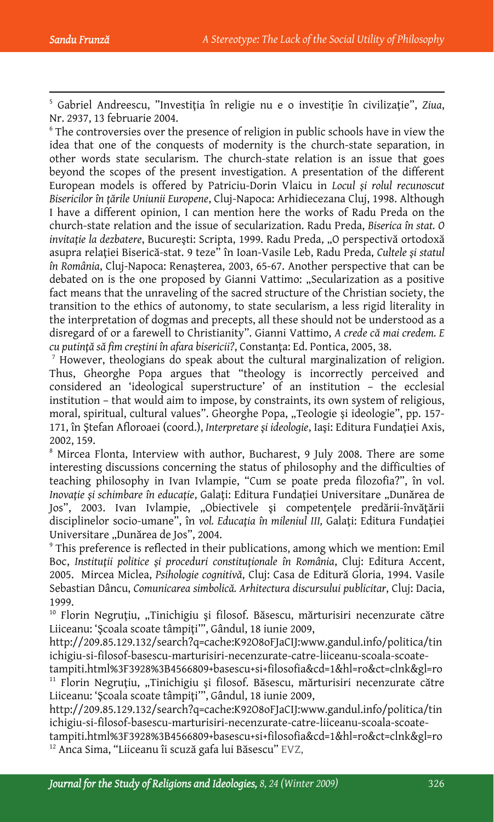$\overline{a}$ 

5 Gabriel Andreescu, "Investiţia în religie nu e o investiţie în civilizaţie", *Ziua*, Nr. 2937, 13 februarie 2004.

<sup>6</sup> The controversies over the presence of religion in public schools have in view the idea that one of the conquests of modernity is the church-state separation, in other words state secularism. The church-state relation is an issue that goes beyond the scopes of the present investigation. A presentation of the different European models is offered by Patriciu-Dorin Vlaicu in *Locul şi rolul recunoscut Bisericilor în ţările Uniunii Europene*, Cluj-Napoca: Arhidiecezana Cluj, 1998. Although I have a different opinion, I can mention here the works of Radu Preda on the church-state relation and the issue of secularization. Radu Preda, *Biserica în stat. O invitație la dezbatere*, București: Scripta, 1999. Radu Preda, "O perspectivă ortodoxă asupra relaţiei Biserică-stat. 9 teze" în Ioan-Vasile Leb, Radu Preda, *Cultele şi statul în România*, Cluj-Napoca: Renaşterea, 2003, 65-67. Another perspective that can be debated on is the one proposed by Gianni Vattimo: "Secularization as a positive fact means that the unraveling of the sacred structure of the Christian society, the transition to the ethics of autonomy, to state secularism, a less rigid literality in the interpretation of dogmas and precepts, all these should not be understood as a disregard of or a farewell to Christianity". Gianni Vattimo, *A crede că mai credem. E cu putinţă să fim creştini în afara bisericii?*, Constanţa: Ed. Pontica, 2005, 38. 7

 $\alpha$ <sup>7</sup> However, theologians do speak about the cultural marginalization of religion. Thus, Gheorghe Popa argues that "theology is incorrectly perceived and considered an 'ideological superstructure' of an institution – the ecclesial institution – that would aim to impose, by constraints, its own system of religious, moral, spiritual, cultural values". Gheorghe Popa, "Teologie și ideologie", pp. 157-171, în Ştefan Afloroaei (coord.), *Interpretare şi ideologie*, Iaşi: Editura Fundaţiei Axis, 2002, 159.

<sup>8</sup> Mircea Flonta, Interview with author, Bucharest, 9 July 2008. There are some interesting discussions concerning the status of philosophy and the difficulties of teaching philosophy in Ivan Ivlampie, "Cum se poate preda filozofia?", în vol. *Inovație și schimbare în educație, Galați: Editura Fundației Universitare "Dunărea de* Jos", 2003. Ivan Ivlampie, "Obiectivele şi competenţele predării-învăţării disciplinelor socio-umane", în *vol. Educaţia în mileniul III,* Galaţi: Editura Fundaţiei Universitare "Dunărea de Jos", 2004.

<sup>9</sup> This preference is reflected in their publications, among which we mention: Emil Boc, *Instituţii politice şi proceduri constituţionale în România*, Cluj: Editura Accent, 2005. Mircea Miclea, *Psihologie cognitivă*, Cluj: Casa de Editură Gloria, 1994. Vasile Sebastian Dâncu, *Comunicarea simbolică. Arhitectura discursului publicitar*, Cluj: Dacia, 1999.

<sup>10</sup> Florin Negruțiu, "Tinichigiu și filosof. Băsescu, mărturisiri necenzurate către Liiceanu: 'Şcoala scoate tâmpiţi'", Gândul, 18 iunie 2009,

http://209.85.129.132/search?q=cache:K92O8oFJaCIJ:www.gandul.info/politica/tin ichigiu-si-filosof-basescu-marturisiri-necenzurate-catre-liiceanu-scoala-scoate-

tampiti.html%3F3928%3B4566809+basescu+si+filosofia&cd=1&hl=ro&ct=clnk&gl=ro<br>11 Florin Negruțiu, "Tinichigiu și filosof. Băsescu, mărturisiri necenzurate către Liiceanu: 'Şcoala scoate tâmpiţi'", Gândul, 18 iunie 2009,

http://209.85.129.132/search?q=cache:K92O8oFJaCIJ:www.gandul.info/politica/tin ichigiu-si-filosof-basescu-marturisiri-necenzurate-catre-liiceanu-scoala-scoate-

tampiti.html%3F3928%3B4566809+basescu+si+filosofia&cd=1&hl=ro&ct=clnk&gl=ro<br><sup>12</sup> Anca Sima, "Liiceanu îi scuză gafa lui Băsescu" EVZ,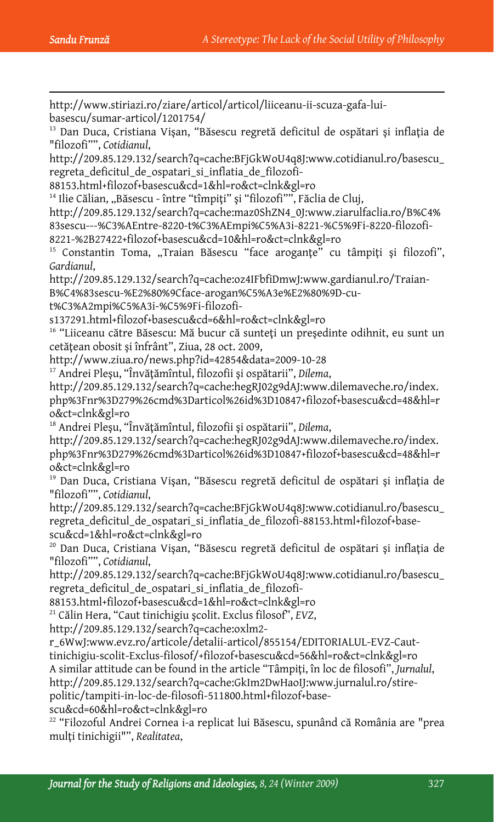$\overline{a}$ http://www.stiriazi.ro/ziare/articol/articol/liiceanu-ii-scuza-gafa-luibasescu/sumar-articol/1201754/ <sup>13</sup> Dan Duca, Cristiana Vişan, "Băsescu regretă deficitul de ospătari și inflația de "filozofi"", *Cotidianul*, http://209.85.129.132/search?q=cache:BFjGkWoU4q8J:www.cotidianul.ro/basescu\_ regreta\_deficitul\_de\_ospatari\_si\_inflatia\_de\_filozofi-88153.html+filozof+basescu&cd=1&hl=ro&ct=clnk&gl=ro <sup>14</sup> Ilie Călian, "Băsescu - între "tîmpiți" și "filozofi"", Făclia de Cluj, http://209.85.129.132/search?q=cache:maz0ShZN4\_0J:www.ziarulfaclia.ro/B%C4% 83sescu---%C3%AEntre-8220-t%C3%AEmpi%C5%A3i-8221-%C5%9Fi-8220-filozofi-8221-%2B27422+filozof+basescu&cd=10&hl=ro&ct=clnk&gl=ro <sup>15</sup> Constantin Toma, "Traian Băsescu "face aroganțe" cu tâmpiți și filozofi", *Gardianul*, http://209.85.129.132/search?q=cache:oz4IFbfiDmwJ:www.gardianul.ro/Traian-B%C4%83sescu-%E2%80%9Cface-arogan%C5%A3e%E2%80%9D-cut%C3%A2mpi%C5%A3i-%C5%9Fi-filozofis137291.html+filozof+basescu&cd=6&hl=ro&ct=clnk&gl=ro <sup>16</sup> "Liiceanu către Băsescu: Mă bucur că sunteți un președinte odihnit, eu sunt un cetăţean obosit şi înfrânt", Ziua, 28 oct. 2009, http://www.ziua.ro/news.php?id=42854&data=2009-10-28 17 Andrei Pleşu, "Învăţămîntul, filozofii şi ospătarii", *Dilema*, http://209.85.129.132/search?q=cache:hegRJ02g9dAJ:www.dilemaveche.ro/index. php%3Fnr%3D279%26cmd%3Darticol%26id%3D10847+filozof+basescu&cd=48&hl=r o&ct=clnk&gl=ro 18 Andrei Pleşu, "Învăţămîntul, filozofii şi ospătarii", *Dilema*, http://209.85.129.132/search?q=cache:hegRJ02g9dAJ:www.dilemaveche.ro/index. php%3Fnr%3D279%26cmd%3Darticol%26id%3D10847+filozof+basescu&cd=48&hl=r o&ct=clnk&gl=ro 19 Dan Duca, Cristiana Vişan, "Băsescu regretă deficitul de ospătari şi inflaţia de "filozofi"", *Cotidianul*, http://209.85.129.132/search?q=cache:BFjGkWoU4q8J:www.cotidianul.ro/basescu\_ regreta\_deficitul\_de\_ospatari\_si\_inflatia\_de\_filozofi-88153.html+filozof+basescu&cd=1&hl=ro&ct=clnk&gl=ro 20 Dan Duca, Cristiana Vişan, "Băsescu regretă deficitul de ospătari şi inflaţia de "filozofi"", *Cotidianul*, http://209.85.129.132/search?q=cache:BFjGkWoU4q8J:www.cotidianul.ro/basescu\_ regreta\_deficitul\_de\_ospatari\_si\_inflatia\_de\_filozofi-88153.html+filozof+basescu&cd=1&hl=ro&ct=clnk&gl=ro 21 Călin Hera, "Caut tinichigiu şcolit. Exclus filosof", *EVZ*, http://209.85.129.132/search?q=cache:oxlm2 r\_6WwJ:www.evz.ro/articole/detalii-articol/855154/EDITORIALUL-EVZ-Cauttinichigiu-scolit-Exclus-filosof/+filozof+basescu&cd=56&hl=ro&ct=clnk&gl=ro A similar attitude can be found in the article "Tâmpiţi, în loc de filosofi", *Jurnalul*, http://209.85.129.132/search?q=cache:GkIm2DwHaoIJ:www.jurnalul.ro/stire-

politic/tampiti-in-loc-de-filosofi-511800.html+filozof+base-

scu&cd=60&hl=ro&ct=clnk&gl=ro

22 "Filozoful Andrei Cornea i-a replicat lui Băsescu, spunând că România are "prea mulţi tinichigii"", *Realitatea*,